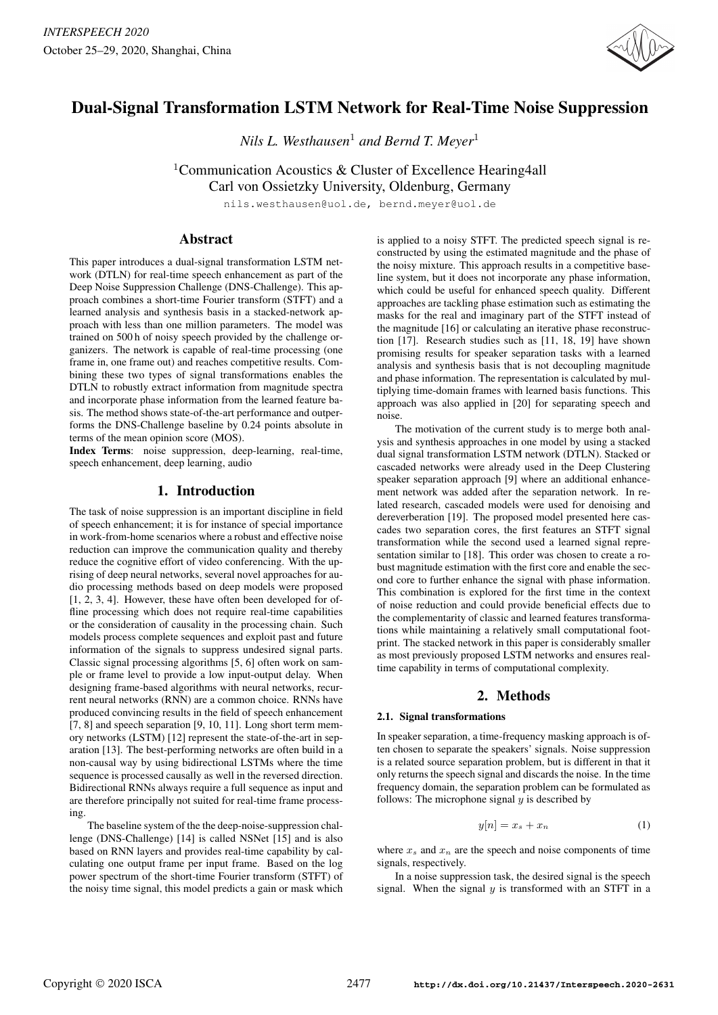

# Dual-Signal Transformation LSTM Network for Real-Time Noise Suppression

*Nils L. Westhausen*<sup>1</sup> *and Bernd T. Meyer*<sup>1</sup>

<sup>1</sup>Communication Acoustics & Cluster of Excellence Hearing4all

Carl von Ossietzky University, Oldenburg, Germany

nils.westhausen@uol.de, bernd.meyer@uol.de

# Abstract

This paper introduces a dual-signal transformation LSTM network (DTLN) for real-time speech enhancement as part of the Deep Noise Suppression Challenge (DNS-Challenge). This approach combines a short-time Fourier transform (STFT) and a learned analysis and synthesis basis in a stacked-network approach with less than one million parameters. The model was trained on 500 h of noisy speech provided by the challenge organizers. The network is capable of real-time processing (one frame in, one frame out) and reaches competitive results. Combining these two types of signal transformations enables the DTLN to robustly extract information from magnitude spectra and incorporate phase information from the learned feature basis. The method shows state-of-the-art performance and outperforms the DNS-Challenge baseline by 0.24 points absolute in terms of the mean opinion score (MOS).

Index Terms: noise suppression, deep-learning, real-time, speech enhancement, deep learning, audio

# 1. Introduction

The task of noise suppression is an important discipline in field of speech enhancement; it is for instance of special importance in work-from-home scenarios where a robust and effective noise reduction can improve the communication quality and thereby reduce the cognitive effort of video conferencing. With the uprising of deep neural networks, several novel approaches for audio processing methods based on deep models were proposed [1, 2, 3, 4]. However, these have often been developed for offline processing which does not require real-time capabilities or the consideration of causality in the processing chain. Such models process complete sequences and exploit past and future information of the signals to suppress undesired signal parts. Classic signal processing algorithms [5, 6] often work on sample or frame level to provide a low input-output delay. When designing frame-based algorithms with neural networks, recurrent neural networks (RNN) are a common choice. RNNs have produced convincing results in the field of speech enhancement [7, 8] and speech separation [9, 10, 11]. Long short term memory networks (LSTM) [12] represent the state-of-the-art in separation [13]. The best-performing networks are often build in a non-causal way by using bidirectional LSTMs where the time sequence is processed causally as well in the reversed direction. Bidirectional RNNs always require a full sequence as input and are therefore principally not suited for real-time frame processing.

The baseline system of the the deep-noise-suppression challenge (DNS-Challenge) [14] is called NSNet [15] and is also based on RNN layers and provides real-time capability by calculating one output frame per input frame. Based on the log power spectrum of the short-time Fourier transform (STFT) of the noisy time signal, this model predicts a gain or mask which is applied to a noisy STFT. The predicted speech signal is reconstructed by using the estimated magnitude and the phase of the noisy mixture. This approach results in a competitive baseline system, but it does not incorporate any phase information, which could be useful for enhanced speech quality. Different approaches are tackling phase estimation such as estimating the masks for the real and imaginary part of the STFT instead of the magnitude [16] or calculating an iterative phase reconstruction [17]. Research studies such as [11, 18, 19] have shown promising results for speaker separation tasks with a learned analysis and synthesis basis that is not decoupling magnitude and phase information. The representation is calculated by multiplying time-domain frames with learned basis functions. This approach was also applied in [20] for separating speech and noise.

The motivation of the current study is to merge both analysis and synthesis approaches in one model by using a stacked dual signal transformation LSTM network (DTLN). Stacked or cascaded networks were already used in the Deep Clustering speaker separation approach [9] where an additional enhancement network was added after the separation network. In related research, cascaded models were used for denoising and dereverberation [19]. The proposed model presented here cascades two separation cores, the first features an STFT signal transformation while the second used a learned signal representation similar to [18]. This order was chosen to create a robust magnitude estimation with the first core and enable the second core to further enhance the signal with phase information. This combination is explored for the first time in the context of noise reduction and could provide beneficial effects due to the complementarity of classic and learned features transformations while maintaining a relatively small computational footprint. The stacked network in this paper is considerably smaller as most previously proposed LSTM networks and ensures realtime capability in terms of computational complexity.

# 2. Methods

## 2.1. Signal transformations

In speaker separation, a time-frequency masking approach is often chosen to separate the speakers' signals. Noise suppression is a related source separation problem, but is different in that it only returns the speech signal and discards the noise. In the time frequency domain, the separation problem can be formulated as follows: The microphone signal  $y$  is described by

$$
y[n] = x_s + x_n \tag{1}
$$

where  $x_s$  and  $x_n$  are the speech and noise components of time signals, respectively.

In a noise suppression task, the desired signal is the speech signal. When the signal  $y$  is transformed with an STFT in a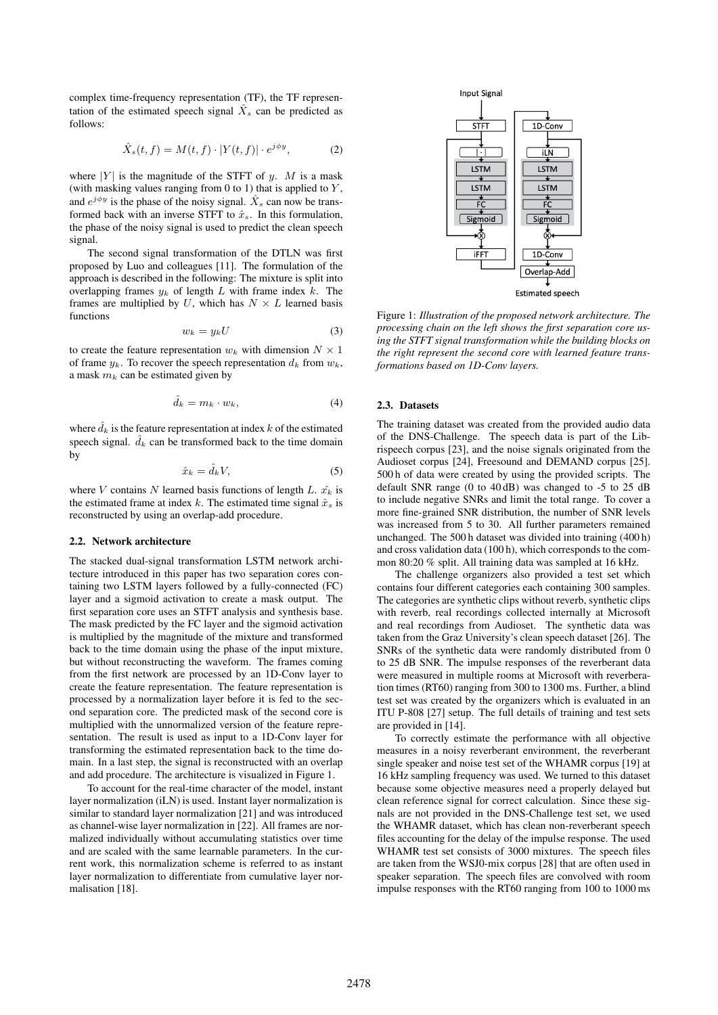complex time-frequency representation (TF), the TF representation of the estimated speech signal  $\hat{X}_s$  can be predicted as follows:

$$
\hat{X}_s(t,f) = M(t,f) \cdot |Y(t,f)| \cdot e^{j\phi y},\tag{2}
$$

where  $|Y|$  is the magnitude of the STFT of y. M is a mask (with masking values ranging from  $0$  to  $1$ ) that is applied to  $Y$ , and  $e^{j\phi y}$  is the phase of the noisy signal.  $\hat{X}_s$  can now be transformed back with an inverse STFT to  $\hat{x}_s$ . In this formulation, the phase of the noisy signal is used to predict the clean speech signal.

The second signal transformation of the DTLN was first proposed by Luo and colleagues [11]. The formulation of the approach is described in the following: The mixture is split into overlapping frames  $y_k$  of length L with frame index k. The frames are multiplied by U, which has  $N \times L$  learned basis functions

$$
w_k = y_k U \tag{3}
$$

to create the feature representation  $w_k$  with dimension  $N \times 1$ of frame  $y_k$ . To recover the speech representation  $d_k$  from  $w_k$ , a mask  $m_k$  can be estimated given by

$$
\hat{d}_k = m_k \cdot w_k,\tag{4}
$$

where  $\hat{d}_k$  is the feature representation at index k of the estimated speech signal.  $\hat{d}_k$  can be transformed back to the time domain by

$$
\hat{x}_k = \hat{d}_k V,\tag{5}
$$

where V contains N learned basis functions of length L.  $\hat{x_k}$  is the estimated frame at index k. The estimated time signal  $\hat{x}_s$  is reconstructed by using an overlap-add procedure.

#### 2.2. Network architecture

The stacked dual-signal transformation LSTM network architecture introduced in this paper has two separation cores containing two LSTM layers followed by a fully-connected (FC) layer and a sigmoid activation to create a mask output. The first separation core uses an STFT analysis and synthesis base. The mask predicted by the FC layer and the sigmoid activation is multiplied by the magnitude of the mixture and transformed back to the time domain using the phase of the input mixture, but without reconstructing the waveform. The frames coming from the first network are processed by an 1D-Conv layer to create the feature representation. The feature representation is processed by a normalization layer before it is fed to the second separation core. The predicted mask of the second core is multiplied with the unnormalized version of the feature representation. The result is used as input to a 1D-Conv layer for transforming the estimated representation back to the time domain. In a last step, the signal is reconstructed with an overlap and add procedure. The architecture is visualized in Figure 1.

To account for the real-time character of the model, instant layer normalization (iLN) is used. Instant layer normalization is similar to standard layer normalization [21] and was introduced as channel-wise layer normalization in [22]. All frames are normalized individually without accumulating statistics over time and are scaled with the same learnable parameters. In the current work, this normalization scheme is referred to as instant layer normalization to differentiate from cumulative layer normalisation [18].



Figure 1: *Illustration of the proposed network architecture. The processing chain on the left shows the first separation core using the STFT signal transformation while the building blocks on the right represent the second core with learned feature transformations based on 1D-Conv layers.*

#### 2.3. Datasets

The training dataset was created from the provided audio data of the DNS-Challenge. The speech data is part of the Librispeech corpus [23], and the noise signals originated from the Audioset corpus [24], Freesound and DEMAND corpus [25]. 500 h of data were created by using the provided scripts. The default SNR range (0 to 40 dB) was changed to -5 to 25 dB to include negative SNRs and limit the total range. To cover a more fine-grained SNR distribution, the number of SNR levels was increased from 5 to 30. All further parameters remained unchanged. The 500 h dataset was divided into training (400 h) and cross validation data (100 h), which corresponds to the common 80:20 % split. All training data was sampled at 16 kHz.

The challenge organizers also provided a test set which contains four different categories each containing 300 samples. The categories are synthetic clips without reverb, synthetic clips with reverb, real recordings collected internally at Microsoft and real recordings from Audioset. The synthetic data was taken from the Graz University's clean speech dataset [26]. The SNRs of the synthetic data were randomly distributed from 0 to 25 dB SNR. The impulse responses of the reverberant data were measured in multiple rooms at Microsoft with reverberation times (RT60) ranging from 300 to 1300 ms. Further, a blind test set was created by the organizers which is evaluated in an ITU P-808 [27] setup. The full details of training and test sets are provided in [14].

To correctly estimate the performance with all objective measures in a noisy reverberant environment, the reverberant single speaker and noise test set of the WHAMR corpus [19] at 16 kHz sampling frequency was used. We turned to this dataset because some objective measures need a properly delayed but clean reference signal for correct calculation. Since these signals are not provided in the DNS-Challenge test set, we used the WHAMR dataset, which has clean non-reverberant speech files accounting for the delay of the impulse response. The used WHAMR test set consists of 3000 mixtures. The speech files are taken from the WSJ0-mix corpus [28] that are often used in speaker separation. The speech files are convolved with room impulse responses with the RT60 ranging from 100 to 1000 ms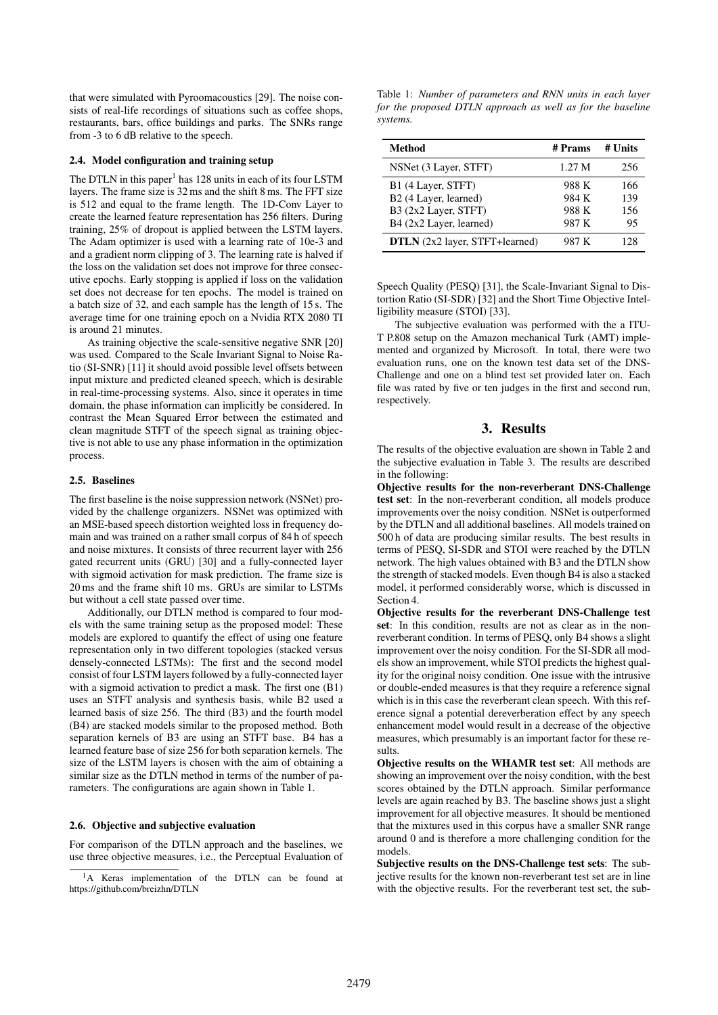that were simulated with Pyroomacoustics [29]. The noise consists of real-life recordings of situations such as coffee shops, restaurants, bars, office buildings and parks. The SNRs range from -3 to 6 dB relative to the speech.

#### 2.4. Model configuration and training setup

The DTLN in this paper<sup>1</sup> has 128 units in each of its four LSTM layers. The frame size is 32 ms and the shift 8 ms. The FFT size is 512 and equal to the frame length. The 1D-Conv Layer to create the learned feature representation has 256 filters. During training, 25% of dropout is applied between the LSTM layers. The Adam optimizer is used with a learning rate of 10e-3 and and a gradient norm clipping of 3. The learning rate is halved if the loss on the validation set does not improve for three consecutive epochs. Early stopping is applied if loss on the validation set does not decrease for ten epochs. The model is trained on a batch size of 32, and each sample has the length of 15 s. The average time for one training epoch on a Nvidia RTX 2080 TI is around 21 minutes.

As training objective the scale-sensitive negative SNR [20] was used. Compared to the Scale Invariant Signal to Noise Ratio (SI-SNR) [11] it should avoid possible level offsets between input mixture and predicted cleaned speech, which is desirable in real-time-processing systems. Also, since it operates in time domain, the phase information can implicitly be considered. In contrast the Mean Squared Error between the estimated and clean magnitude STFT of the speech signal as training objective is not able to use any phase information in the optimization process.

#### 2.5. Baselines

The first baseline is the noise suppression network (NSNet) provided by the challenge organizers. NSNet was optimized with an MSE-based speech distortion weighted loss in frequency domain and was trained on a rather small corpus of 84 h of speech and noise mixtures. It consists of three recurrent layer with 256 gated recurrent units (GRU) [30] and a fully-connected layer with sigmoid activation for mask prediction. The frame size is 20 ms and the frame shift 10 ms. GRUs are similar to LSTMs but without a cell state passed over time.

Additionally, our DTLN method is compared to four models with the same training setup as the proposed model: These models are explored to quantify the effect of using one feature representation only in two different topologies (stacked versus densely-connected LSTMs): The first and the second model consist of four LSTM layers followed by a fully-connected layer with a sigmoid activation to predict a mask. The first one (B1) uses an STFT analysis and synthesis basis, while B2 used a learned basis of size 256. The third (B3) and the fourth model (B4) are stacked models similar to the proposed method. Both separation kernels of B3 are using an STFT base. B4 has a learned feature base of size 256 for both separation kernels. The size of the LSTM layers is chosen with the aim of obtaining a similar size as the DTLN method in terms of the number of parameters. The configurations are again shown in Table 1.

#### 2.6. Objective and subjective evaluation

For comparison of the DTLN approach and the baselines, we use three objective measures, i.e., the Perceptual Evaluation of

Table 1: *Number of parameters and RNN units in each layer for the proposed DTLN approach as well as for the baseline systems.*

| Method                                | # Prams | # Units |
|---------------------------------------|---------|---------|
| NSNet (3 Layer, STFT)                 | 1.27 M  | 256     |
| B1 (4 Layer, STFT)                    | 988 K   | 166     |
| B <sub>2</sub> (4 Layer, learned)     | 984 K   | 139     |
| B3 (2x2 Layer, STFT)                  | 988 K   | 156     |
| B4 (2x2 Layer, learned)               | 987 K   | 95      |
| <b>DTLN</b> (2x2 layer, STFT+learned) | 987 K   | 128     |

Speech Quality (PESQ) [31], the Scale-Invariant Signal to Distortion Ratio (SI-SDR) [32] and the Short Time Objective Intelligibility measure (STOI) [33].

The subjective evaluation was performed with the a ITU-T P.808 setup on the Amazon mechanical Turk (AMT) implemented and organized by Microsoft. In total, there were two evaluation runs, one on the known test data set of the DNS-Challenge and one on a blind test set provided later on. Each file was rated by five or ten judges in the first and second run, respectively.

# 3. Results

The results of the objective evaluation are shown in Table 2 and the subjective evaluation in Table 3. The results are described in the following:

Objective results for the non-reverberant DNS-Challenge test set: In the non-reverberant condition, all models produce improvements over the noisy condition. NSNet is outperformed by the DTLN and all additional baselines. All models trained on 500 h of data are producing similar results. The best results in terms of PESQ, SI-SDR and STOI were reached by the DTLN network. The high values obtained with B3 and the DTLN show the strength of stacked models. Even though B4 is also a stacked model, it performed considerably worse, which is discussed in Section 4.

Objective results for the reverberant DNS-Challenge test set: In this condition, results are not as clear as in the nonreverberant condition. In terms of PESQ, only B4 shows a slight improvement over the noisy condition. For the SI-SDR all models show an improvement, while STOI predicts the highest quality for the original noisy condition. One issue with the intrusive or double-ended measures is that they require a reference signal which is in this case the reverberant clean speech. With this reference signal a potential dereverberation effect by any speech enhancement model would result in a decrease of the objective measures, which presumably is an important factor for these results.

Objective results on the WHAMR test set: All methods are showing an improvement over the noisy condition, with the best scores obtained by the DTLN approach. Similar performance levels are again reached by B3. The baseline shows just a slight improvement for all objective measures. It should be mentioned that the mixtures used in this corpus have a smaller SNR range around 0 and is therefore a more challenging condition for the models.

Subjective results on the DNS-Challenge test sets: The subjective results for the known non-reverberant test set are in line with the objective results. For the reverberant test set, the sub-

<sup>&</sup>lt;sup>1</sup>A Keras implementation of the DTLN can be found at https://github.com/breizhn/DTLN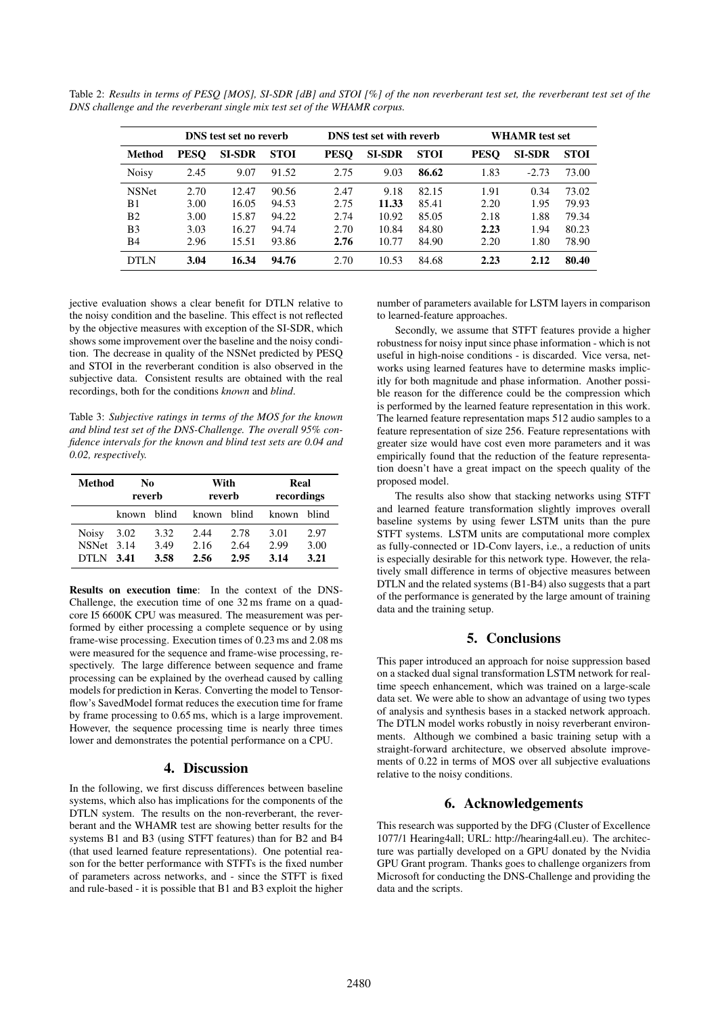Table 2: *Results in terms of PESQ [MOS], SI-SDR [dB] and STOI [%] of the non reverberant test set, the reverberant test set of the DNS challenge and the reverberant single mix test set of the WHAMR corpus.*

|                | <b>DNS</b> test set no reverb |               |             | <b>DNS</b> test set with reverb |               |             | <b>WHAMR</b> test set |               |             |
|----------------|-------------------------------|---------------|-------------|---------------------------------|---------------|-------------|-----------------------|---------------|-------------|
| Method         | <b>PESO</b>                   | <b>SI-SDR</b> | <b>STOI</b> | <b>PESO</b>                     | <b>SI-SDR</b> | <b>STOI</b> | <b>PESQ</b>           | <b>SI-SDR</b> | <b>STOI</b> |
| <b>Noisy</b>   | 2.45                          | 9.07          | 91.52       | 2.75                            | 9.03          | 86.62       | 1.83                  | $-2.73$       | 73.00       |
| <b>NSNet</b>   | 2.70                          | 12.47         | 90.56       | 2.47                            | 9.18          | 82.15       | 1.91                  | 0.34          | 73.02       |
| B1             | 3.00                          | 16.05         | 94.53       | 2.75                            | 11.33         | 85.41       | 2.20                  | 1.95          | 79.93       |
| B <sub>2</sub> | 3.00                          | 15.87         | 94.22       | 2.74                            | 10.92         | 85.05       | 2.18                  | 1.88          | 79.34       |
| B <sub>3</sub> | 3.03                          | 16.27         | 94.74       | 2.70                            | 10.84         | 84.80       | 2.23                  | 1.94          | 80.23       |
| B4             | 2.96                          | 15.51         | 93.86       | 2.76                            | 10.77         | 84.90       | 2.20                  | 1.80          | 78.90       |
| DTI N          | 3.04                          | 16.34         | 94.76       | 2.70                            | 10.53         | 84.68       | 2.23                  | 2.12          | 80.40       |

jective evaluation shows a clear benefit for DTLN relative to the noisy condition and the baseline. This effect is not reflected by the objective measures with exception of the SI-SDR, which shows some improvement over the baseline and the noisy condition. The decrease in quality of the NSNet predicted by PESQ and STOI in the reverberant condition is also observed in the subjective data. Consistent results are obtained with the real recordings, both for the conditions *known* and *blind*.

Table 3: *Subjective ratings in terms of the MOS for the known and blind test set of the DNS-Challenge. The overall 95% confidence intervals for the known and blind test sets are 0.04 and 0.02, respectively.*

| Method       | No<br>reverb |      | With<br>reverb |      | Real<br>recordings |       |
|--------------|--------------|------|----------------|------|--------------------|-------|
|              | known blind  |      | known blind    |      | known              | blind |
| <b>Noisy</b> | 3.02         | 3.32 | 2.44           | 2.78 | 3.01               | 2.97  |
| NSNet 3.14   |              | 3.49 | 2.16           | 2.64 | 2.99               | 3.00  |
| <b>DTLN</b>  | 3.41         | 3.58 | 2.56           | 2.95 | 3.14               | 3.21  |

Results on execution time: In the context of the DNS-Challenge, the execution time of one 32 ms frame on a quadcore I5 6600K CPU was measured. The measurement was performed by either processing a complete sequence or by using frame-wise processing. Execution times of 0.23 ms and 2.08 ms were measured for the sequence and frame-wise processing, respectively. The large difference between sequence and frame processing can be explained by the overhead caused by calling models for prediction in Keras. Converting the model to Tensorflow's SavedModel format reduces the execution time for frame by frame processing to 0.65 ms, which is a large improvement. However, the sequence processing time is nearly three times lower and demonstrates the potential performance on a CPU.

## 4. Discussion

In the following, we first discuss differences between baseline systems, which also has implications for the components of the DTLN system. The results on the non-reverberant, the reverberant and the WHAMR test are showing better results for the systems B1 and B3 (using STFT features) than for B2 and B4 (that used learned feature representations). One potential reason for the better performance with STFTs is the fixed number of parameters across networks, and - since the STFT is fixed and rule-based - it is possible that B1 and B3 exploit the higher

number of parameters available for LSTM layers in comparison to learned-feature approaches.

Secondly, we assume that STFT features provide a higher robustness for noisy input since phase information - which is not useful in high-noise conditions - is discarded. Vice versa, networks using learned features have to determine masks implicitly for both magnitude and phase information. Another possible reason for the difference could be the compression which is performed by the learned feature representation in this work. The learned feature representation maps 512 audio samples to a feature representation of size 256. Feature representations with greater size would have cost even more parameters and it was empirically found that the reduction of the feature representation doesn't have a great impact on the speech quality of the proposed model.

The results also show that stacking networks using STFT and learned feature transformation slightly improves overall baseline systems by using fewer LSTM units than the pure STFT systems. LSTM units are computational more complex as fully-connected or 1D-Conv layers, i.e., a reduction of units is especially desirable for this network type. However, the relatively small difference in terms of objective measures between DTLN and the related systems (B1-B4) also suggests that a part of the performance is generated by the large amount of training data and the training setup.

# 5. Conclusions

This paper introduced an approach for noise suppression based on a stacked dual signal transformation LSTM network for realtime speech enhancement, which was trained on a large-scale data set. We were able to show an advantage of using two types of analysis and synthesis bases in a stacked network approach. The DTLN model works robustly in noisy reverberant environments. Although we combined a basic training setup with a straight-forward architecture, we observed absolute improvements of 0.22 in terms of MOS over all subjective evaluations relative to the noisy conditions.

# 6. Acknowledgements

This research was supported by the DFG (Cluster of Excellence 1077/1 Hearing4all; URL: http://hearing4all.eu). The architecture was partially developed on a GPU donated by the Nvidia GPU Grant program. Thanks goes to challenge organizers from Microsoft for conducting the DNS-Challenge and providing the data and the scripts.